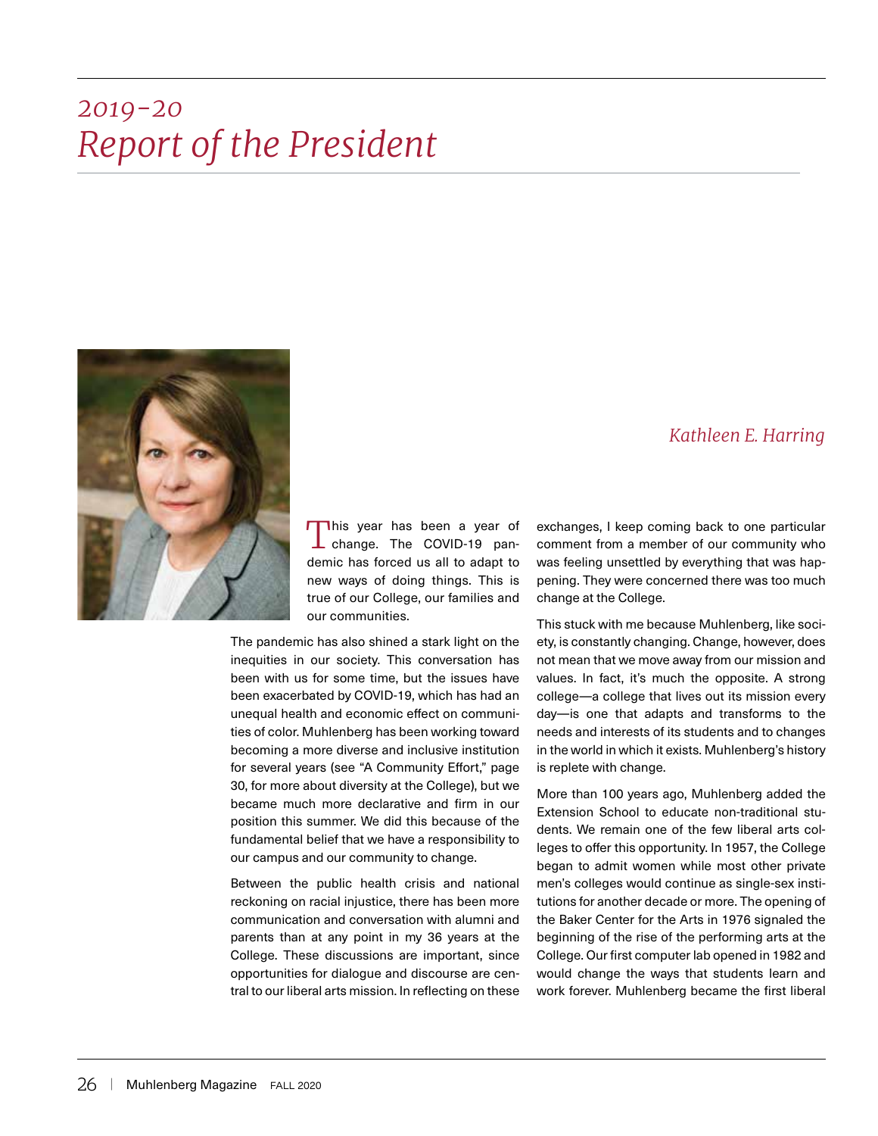## *Report of the President 2019-20*



This year has been a year of  $\blacksquare$  change. The COVID-19 pandemic has forced us all to adapt to new ways of doing things. This is true of our College, our families and our communities.

The pandemic has also shined a stark light on the inequities in our society. This conversation has been with us for some time, but the issues have been exacerbated by COVID-19, which has had an unequal health and economic effect on communities of color. Muhlenberg has been working toward becoming a more diverse and inclusive institution for several years (see "A Community Effort," page 30, for more about diversity at the College), but we became much more declarative and firm in our position this summer. We did this because of the fundamental belief that we have a responsibility to our campus and our community to change.

Between the public health crisis and national reckoning on racial injustice, there has been more communication and conversation with alumni and parents than at any point in my 36 years at the College. These discussions are important, since opportunities for dialogue and discourse are central to our liberal arts mission. In reflecting on these

## *Kathleen E. Harring*

exchanges, I keep coming back to one particular comment from a member of our community who was feeling unsettled by everything that was happening. They were concerned there was too much change at the College.

This stuck with me because Muhlenberg, like society, is constantly changing. Change, however, does not mean that we move away from our mission and values. In fact, it's much the opposite. A strong college—a college that lives out its mission every day—is one that adapts and transforms to the needs and interests of its students and to changes in the world in which it exists. Muhlenberg's history is replete with change.

More than 100 years ago, Muhlenberg added the Extension School to educate non-traditional students. We remain one of the few liberal arts colleges to offer this opportunity. In 1957, the College began to admit women while most other private men's colleges would continue as single-sex institutions for another decade or more. The opening of the Baker Center for the Arts in 1976 signaled the beginning of the rise of the performing arts at the College. Our first computer lab opened in 1982 and would change the ways that students learn and work forever. Muhlenberg became the first liberal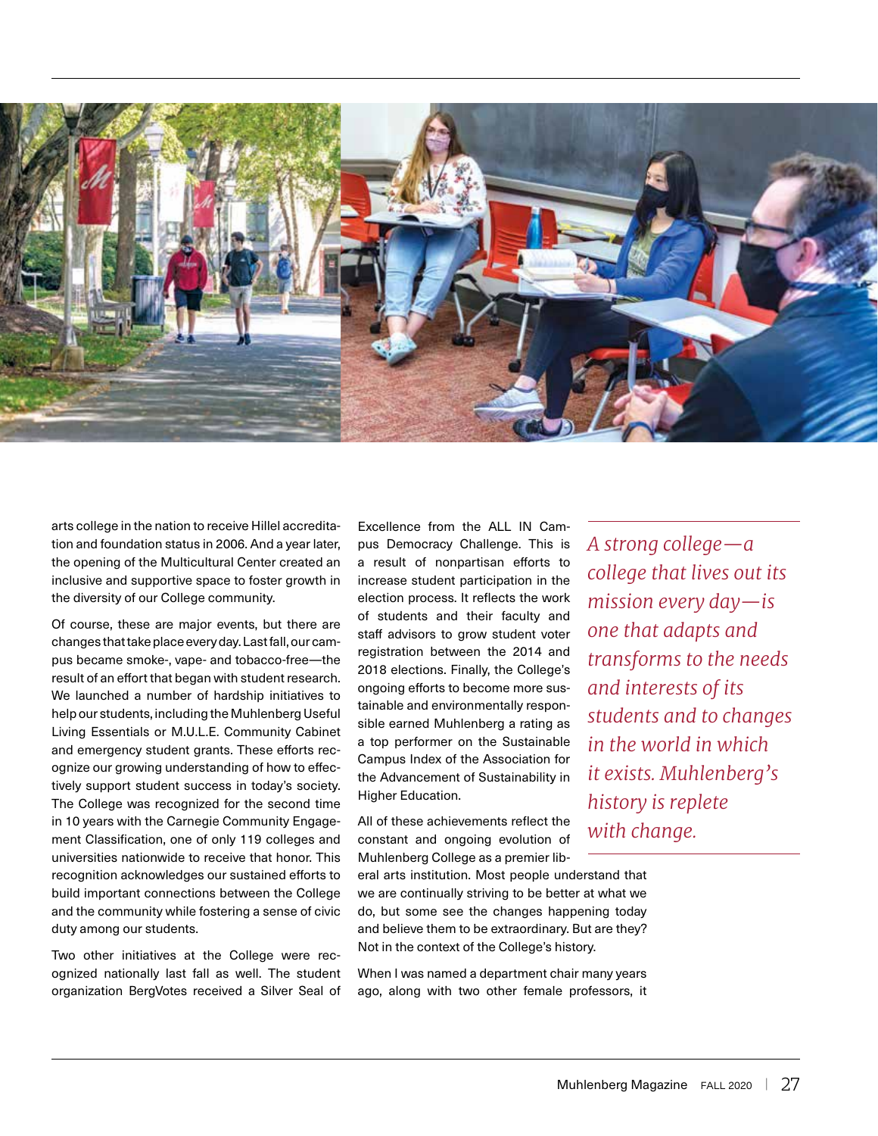

arts college in the nation to receive Hillel accreditation and foundation status in 2006. And a year later, the opening of the Multicultural Center created an inclusive and supportive space to foster growth in the diversity of our College community.

Of course, these are major events, but there are changes that take place every day. Last fall, our campus became smoke-, vape- and tobacco-free—the result of an effort that began with student research. We launched a number of hardship initiatives to help our students, including the Muhlenberg Useful Living Essentials or M.U.L.E. Community Cabinet and emergency student grants. These efforts recognize our growing understanding of how to effectively support student success in today's society. The College was recognized for the second time in 10 years with the Carnegie Community Engagement Classification, one of only 119 colleges and universities nationwide to receive that honor. This recognition acknowledges our sustained efforts to build important connections between the College and the community while fostering a sense of civic duty among our students.

Two other initiatives at the College were recognized nationally last fall as well. The student organization BergVotes received a Silver Seal of Excellence from the ALL IN Campus Democracy Challenge. This is a result of nonpartisan efforts to increase student participation in the election process. It reflects the work of students and their faculty and staff advisors to grow student voter registration between the 2014 and 2018 elections. Finally, the College's ongoing efforts to become more sustainable and environmentally responsible earned Muhlenberg a rating as a top performer on the Sustainable Campus Index of the Association for the Advancement of Sustainability in Higher Education.

All of these achievements reflect the constant and ongoing evolution of Muhlenberg College as a premier lib-

eral arts institution. Most people understand that we are continually striving to be better at what we do, but some see the changes happening today and believe them to be extraordinary. But are they? Not in the context of the College's history.

When I was named a department chair many years ago, along with two other female professors, it

*A strong college—a college that lives out its mission every day—is one that adapts and transforms to the needs and interests of its students and to changes in the world in which it exists. Muhlenberg's history is replete with change.*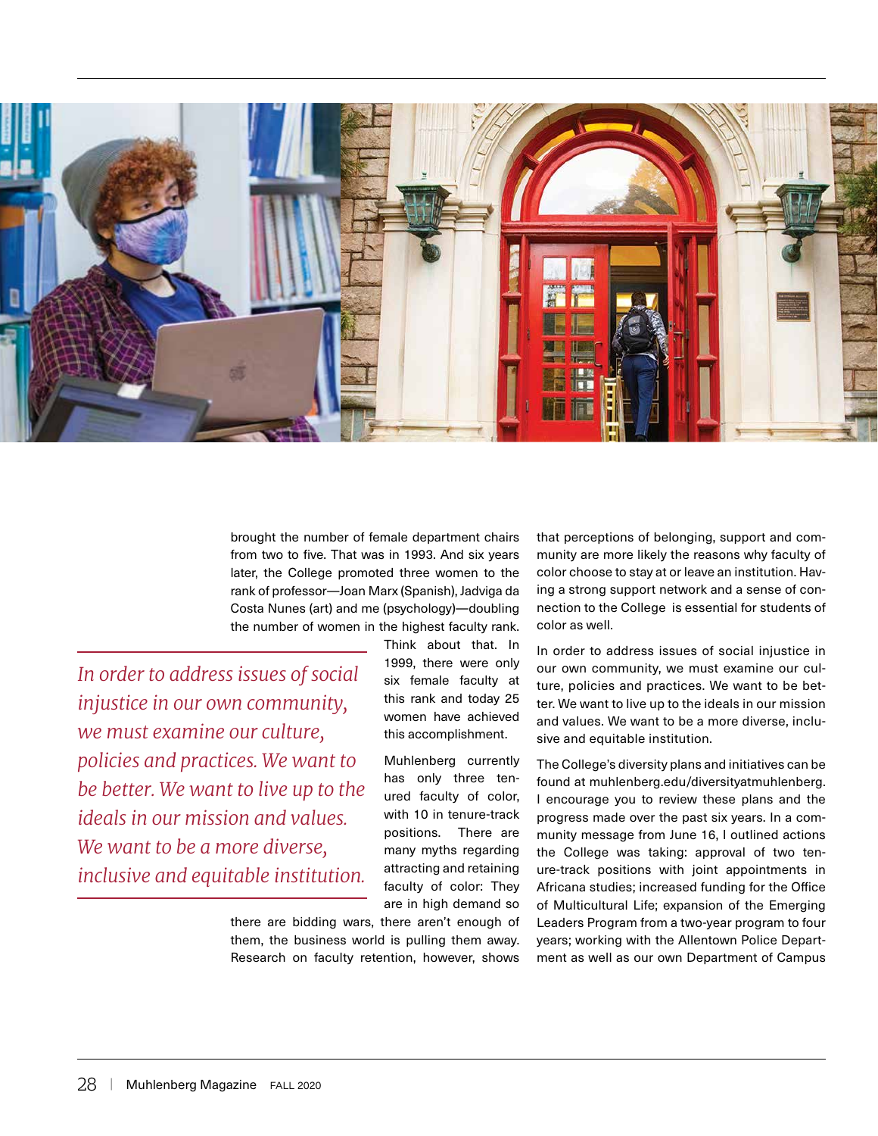

brought the number of female department chairs from two to five. That was in 1993. And six years later, the College promoted three women to the rank of professor—Joan Marx (Spanish), Jadviga da Costa Nunes (art) and me (psychology)—doubling the number of women in the highest faculty rank.

*In order to address issues of social injustice in our own community, we must examine our culture, policies and practices. We want to be better. We want to live up to the ideals in our mission and values. We want to be a more diverse, inclusive and equitable institution.*  Think about that. In 1999, there were only six female faculty at this rank and today 25 women have achieved this accomplishment.

Muhlenberg currently has only three tenured faculty of color, with 10 in tenure-track positions. There are many myths regarding attracting and retaining faculty of color: They are in high demand so

there are bidding wars, there aren't enough of them, the business world is pulling them away. Research on faculty retention, however, shows that perceptions of belonging, support and community are more likely the reasons why faculty of color choose to stay at or leave an institution. Having a strong support network and a sense of connection to the College is essential for students of color as well.

In order to address issues of social injustice in our own community, we must examine our culture, policies and practices. We want to be better. We want to live up to the ideals in our mission and values. We want to be a more diverse, inclusive and equitable institution.

The College's diversity plans and initiatives can be found at muhlenberg.edu/diversityatmuhlenberg. I encourage you to review these plans and the progress made over the past six years. In a community message from June 16, I outlined actions the College was taking: approval of two tenure-track positions with joint appointments in Africana studies; increased funding for the Office of Multicultural Life; expansion of the Emerging Leaders Program from a two-year program to four years; working with the Allentown Police Department as well as our own Department of Campus